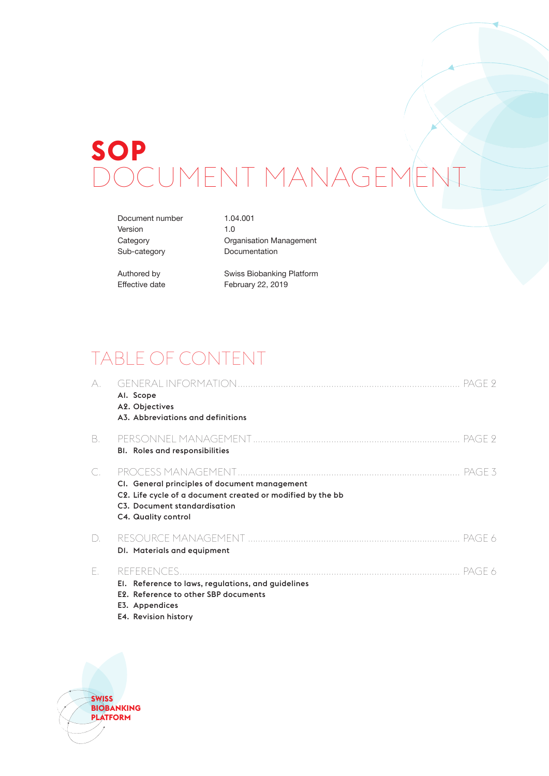# **SOP** JCUMENT MANAGE

Document number 1.04.001 Version 1.0

Category **Category** Organisation Management Sub-category Documentation

Authored by Swiss Biobanking Platform Effective date February 22, 2019

## TABLE OF CONTENT

| A. | Al. Scope<br>A2. Objectives<br>A3. Abbreviations and definitions                                                                                                   | PAGE 9   |
|----|--------------------------------------------------------------------------------------------------------------------------------------------------------------------|----------|
| B. | BI. Roles and responsibilities                                                                                                                                     | . PAGE 9 |
| C. | CI. General principles of document management<br>C2. Life cycle of a document created or modified by the bb<br>C3. Document standardisation<br>C4. Quality control | PAGE 3   |
| D. | DI. Materials and equipment                                                                                                                                        | PAGE 6   |
| F. | El. Reference to laws, regulations, and guidelines<br>E2. Reference to other SBP documents<br>E3. Appendices                                                       | PAGE 6   |

E4. Revision history

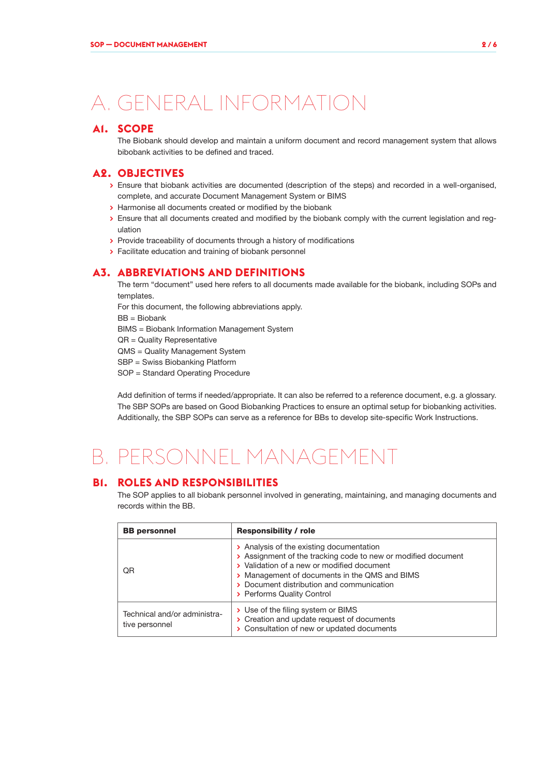## A. GENERAL INFORMATION

## **A1. SCOPE**

The Biobank should develop and maintain a uniform document and record management system that allows bibobank activities to be defined and traced.

### **A2. OBJECTIVES**

- **>** Ensure that biobank activities are documented (description of the steps) and recorded in a well-organised, complete, and accurate Document Management System or BIMS
- **>** Harmonise all documents created or modified by the biobank
- **>** Ensure that all documents created and modified by the biobank comply with the current legislation and regulation
- **>** Provide traceability of documents through a history of modifications
- **>** Facilitate education and training of biobank personnel

### **A3. ABBREVIATIONS AND DEFINITIONS**

The term "document" used here refers to all documents made available for the biobank, including SOPs and templates.

For this document, the following abbreviations apply.

BB = Biobank

BIMS = Biobank Information Management System

QR = Quality Representative

QMS = Quality Management System

SBP = Swiss Biobanking Platform

SOP = Standard Operating Procedure

Add definition of terms if needed/appropriate. It can also be referred to a reference document, e.g. a glossary. The SBP SOPs are based on Good Biobanking Practices to ensure an optimal setup for biobanking activities. Additionally, the SBP SOPs can serve as a reference for BBs to develop site-specific Work Instructions.

## B. PERSONNEL MANAGEMENT

### **B1. ROLES AND RESPONSIBILITIES**

The SOP applies to all biobank personnel involved in generating, maintaining, and managing documents and records within the BB.

| <b>BB</b> personnel                            | <b>Responsibility / role</b>                                                                                                                                                                                                                                                        |  |  |
|------------------------------------------------|-------------------------------------------------------------------------------------------------------------------------------------------------------------------------------------------------------------------------------------------------------------------------------------|--|--|
| 0 <sub>R</sub>                                 | > Analysis of the existing documentation<br>> Assignment of the tracking code to new or modified document<br>> Validation of a new or modified document<br>> Management of documents in the QMS and BIMS<br>> Document distribution and communication<br>> Performs Quality Control |  |  |
| Technical and/or administra-<br>tive personnel | > Use of the filing system or BIMS<br>> Creation and update request of documents<br>> Consultation of new or updated documents                                                                                                                                                      |  |  |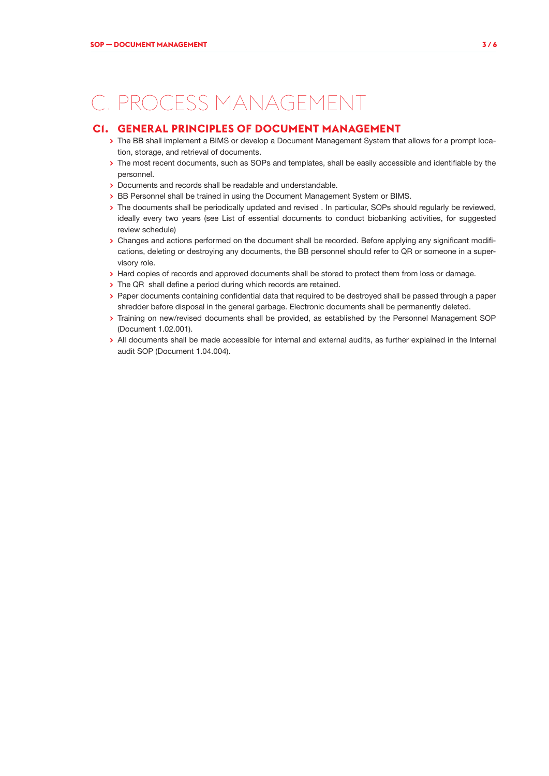## C. PROCESS MANAGEMENT

### **C1. GENERAL PRINCIPLES OF DOCUMENT MANAGEMENT**

- **>** The BB shall implement a BIMS or develop a Document Management System that allows for a prompt location, storage, and retrieval of documents.
- **>** The most recent documents, such as SOPs and templates, shall be easily accessible and identifiable by the personnel.
- **>** Documents and records shall be readable and understandable.
- **>** BB Personnel shall be trained in using the Document Management System or BIMS.
- **>** The documents shall be periodically updated and revised . In particular, SOPs should regularly be reviewed, ideally every two years (see List of essential documents to conduct biobanking activities, for suggested review schedule)
- **>** Changes and actions performed on the document shall be recorded. Before applying any significant modifications, deleting or destroying any documents, the BB personnel should refer to QR or someone in a supervisory role.
- **>** Hard copies of records and approved documents shall be stored to protect them from loss or damage.
- **>** The QR shall define a period during which records are retained.
- **>** Paper documents containing confidential data that required to be destroyed shall be passed through a paper shredder before disposal in the general garbage. Electronic documents shall be permanently deleted.
- **>** Training on new/revised documents shall be provided, as established by the Personnel Management SOP (Document 1.02.001).
- **>** All documents shall be made accessible for internal and external audits, as further explained in the Internal audit SOP (Document 1.04.004).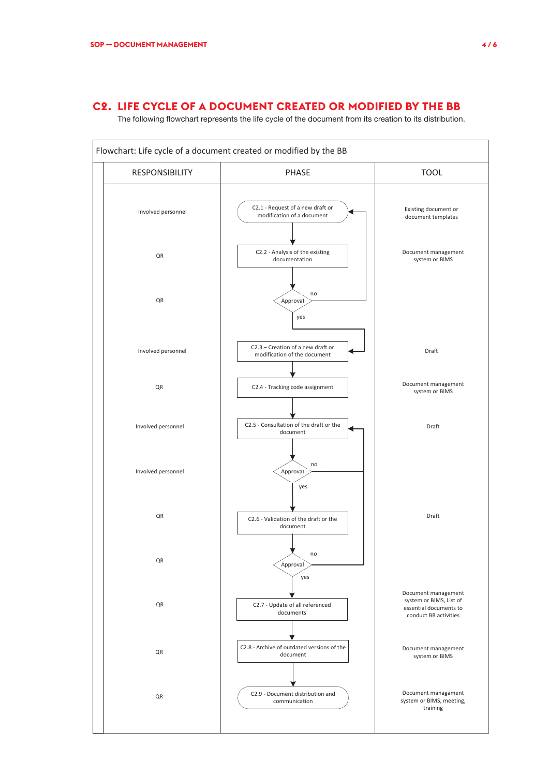## **C2. LIFE CYCLE OF A DOCUMENT CREATED OR MODIFIED BY THE BB**

The following flowchart represents the life cycle of the document from its creation to its distribution.

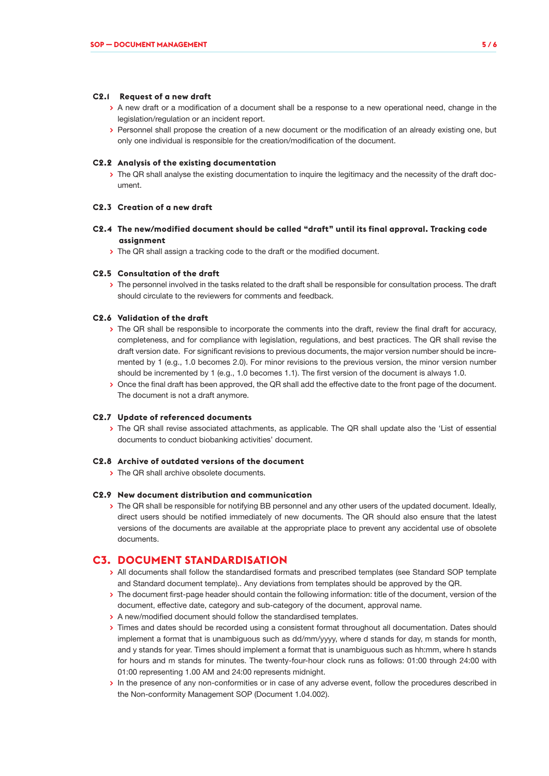#### **C2.1 Request of a new draft**

- **>** A new draft or a modification of a document shall be a response to a new operational need, change in the legislation/regulation or an incident report.
- **>** Personnel shall propose the creation of a new document or the modification of an already existing one, but only one individual is responsible for the creation/modification of the document.

#### **C2.2 Analysis of the existing documentation**

**>** The QR shall analyse the existing documentation to inquire the legitimacy and the necessity of the draft document.

#### **C2.3 Creation of a new draft**

- **C2.4 The new/modified document should be called "draft" until its final approval. Tracking code assignment**
	- **>** The QR shall assign a tracking code to the draft or the modified document.

#### **C2.5 Consultation of the draft**

**>** The personnel involved in the tasks related to the draft shall be responsible for consultation process. The draft should circulate to the reviewers for comments and feedback.

#### **C2.6 Validation of the draft**

- **>** The QR shall be responsible to incorporate the comments into the draft, review the final draft for accuracy, completeness, and for compliance with legislation, regulations, and best practices. The QR shall revise the draft version date. For significant revisions to previous documents, the major version number should be incremented by 1 (e.g., 1.0 becomes 2.0). For minor revisions to the previous version, the minor version number should be incremented by 1 (e.g., 1.0 becomes 1.1). The first version of the document is always 1.0.
- **>** Once the final draft has been approved, the QR shall add the effective date to the front page of the document. The document is not a draft anymore.

#### **C2.7 Update of referenced documents**

**>** The QR shall revise associated attachments, as applicable. The QR shall update also the 'List of essential documents to conduct biobanking activities' document.

#### **C2.8 Archive of outdated versions of the document**

**>** The QR shall archive obsolete documents.

#### **C2.9 New document distribution and communication**

**>** The QR shall be responsible for notifying BB personnel and any other users of the updated document. Ideally, direct users should be notified immediately of new documents. The QR should also ensure that the latest versions of the documents are available at the appropriate place to prevent any accidental use of obsolete documents.

## **C3. DOCUMENT STANDARDISATION**

- **>** All documents shall follow the standardised formats and prescribed templates (see Standard SOP template and Standard document template).. Any deviations from templates should be approved by the QR.
- **>** The document first-page header should contain the following information: title of the document, version of the document, effective date, category and sub-category of the document, approval name.
- **>** A new/modified document should follow the standardised templates.
- **>** Times and dates should be recorded using a consistent format throughout all documentation. Dates should implement a format that is unambiguous such as dd/mm/yyyy, where d stands for day, m stands for month, and y stands for year. Times should implement a format that is unambiguous such as hh:mm, where h stands for hours and m stands for minutes. The twenty-four-hour clock runs as follows: 01:00 through 24:00 with 01:00 representing 1.00 AM and 24:00 represents midnight.
- **>** In the presence of any non-conformities or in case of any adverse event, follow the procedures described in the Non-conformity Management SOP (Document 1.04.002).